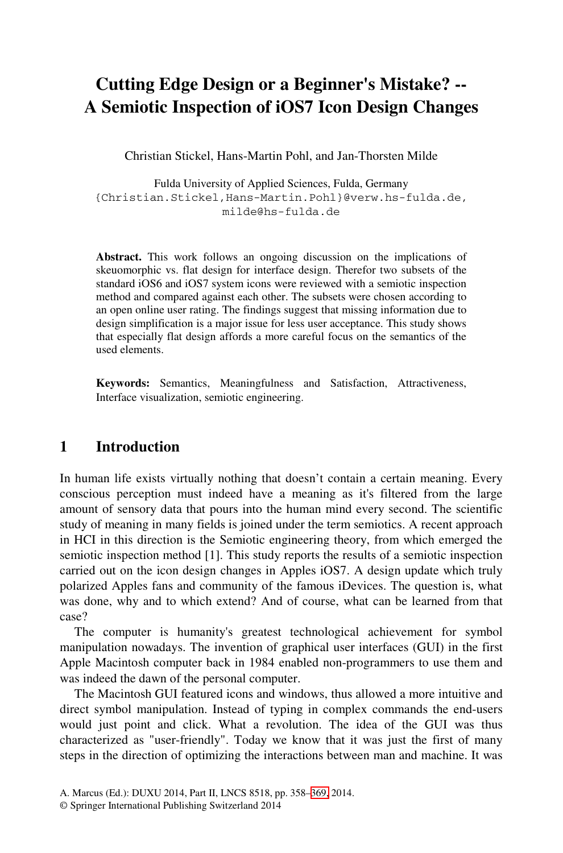# **Cutting Edge Design or a Beginner's Mistake? -- A Semiotic Inspection of iOS7 Icon Design Changes**

Christian Stickel, Hans-Martin Pohl, and Jan-Thorsten Milde

Fulda University of Applied Sciences, Fulda, Germany {Christian.Stickel,Hans-Martin.Pohl}@verw.hs-fulda.de, milde@hs-fulda.de

**Abstract.** This work follows an ongoing discussion on the implications of skeuomorphic vs. flat design for interface design. Therefor two subsets of the standard iOS6 and iOS7 system icons were reviewed with a semiotic inspection method and compared against each other. The subsets were chosen according to an open online user rating. The findings suggest that missing information due to design simplification is a major issue for less user acceptance. This study shows that especially flat design affords a more careful focus on the semantics of the used elements.

**Keywords:** Semantics, Meaningfulness and Satisfaction, Attractiveness, Interface visualization, semiotic engineering.

### **1 Introduction**

In human life exists virtually nothing that doesn't contain a certain meaning. Every conscious perception must indeed have a meaning as it's filtered from the large amount of sensory data that pours into the human mind every second. The scientific study of meaning in many fields is joined under the term semiotics. A recent approach in HCI in this direction is the Semiotic engineering theory, from which emerged the semiotic inspection method [1]. This study reports the results of a semiotic inspection carried out on the icon design changes in Apples iOS7. A design update which truly polarized Apples fans and community of the famous iDevices. The question is, what was done, why and to which extend? And of course, what can be learned from that case?

The computer is humanity's greatest technological achievement for symbol manipulation nowadays. The invention of graphical user interfaces (GUI) in the first Apple Macintosh computer back in 1984 enabled non-programmers to use them and was indeed the dawn of the p[erso](#page-11-0)nal computer.

The Macintosh GUI featured icons and windows, thus allowed a more intuitive and direct symbol manipulation. Instead of typing in complex commands the end-users would just point and click. What a revolution. The idea of the GUI was thus characterized as "user-friendly". Today we know that it was just the first of many steps in the direction of optimizing the interactions between man and machine. It was

A. Marcus (Ed.): DUXU 2014, Part II, LNCS 8518, pp. 358–369, 2014.

<sup>©</sup> Springer International Publishing Switzerland 2014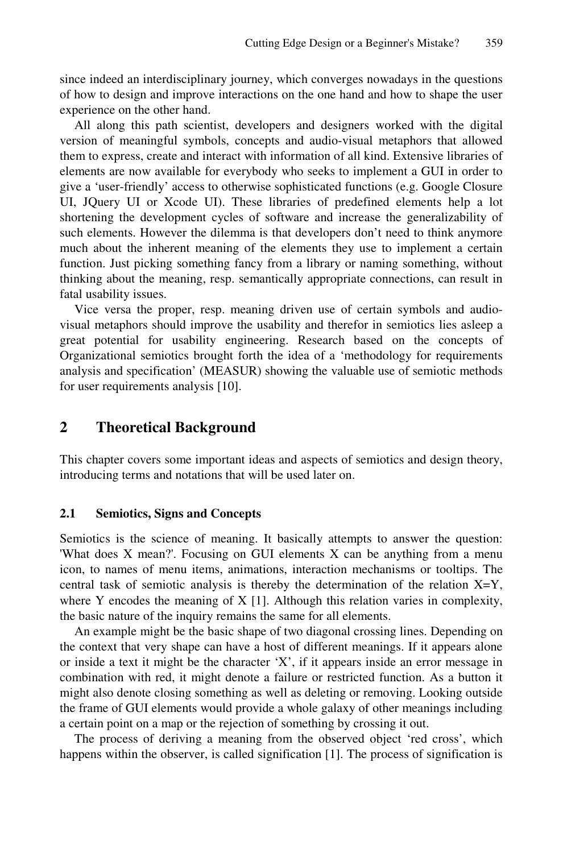since indeed an interdisciplinary journey, which converges nowadays in the questions of how to design and improve interactions on the one hand and how to shape the user experience on the other hand.

All along this path scientist, developers and designers worked with the digital version of meaningful symbols, concepts and audio-visual metaphors that allowed them to express, create and interact with information of all kind. Extensive libraries of elements are now available for everybody who seeks to implement a GUI in order to give a 'user-friendly' access to otherwise sophisticated functions (e.g. Google Closure UI, JQuery UI or Xcode UI). These libraries of predefined elements help a lot shortening the development cycles of software and increase the generalizability of such elements. However the dilemma is that developers don't need to think anymore much about the inherent meaning of the elements they use to implement a certain function. Just picking something fancy from a library or naming something, without thinking about the meaning, resp. semantically appropriate connections, can result in fatal usability issues.

Vice versa the proper, resp. meaning driven use of certain symbols and audiovisual metaphors should improve the usability and therefor in semiotics lies asleep a great potential for usability engineering. Research based on the concepts of Organizational semiotics brought forth the idea of a 'methodology for requirements analysis and specification' (MEASUR) showing the valuable use of semiotic methods for user requirements analysis [10].

### **2 Theoretical Background**

This chapter covers some important ideas and aspects of semiotics and design theory, introducing terms and notations that will be used later on.

#### **2.1 Semiotics, Signs and Concepts**

Semiotics is the science of meaning. It basically attempts to answer the question: 'What does X mean?'. Focusing on GUI elements X can be anything from a menu icon, to names of menu items, animations, interaction mechanisms or tooltips. The central task of semiotic analysis is thereby the determination of the relation  $X=Y$ , where Y encodes the meaning of X [1]. Although this relation varies in complexity, the basic nature of the inquiry remains the same for all elements.

An example might be the basic shape of two diagonal crossing lines. Depending on the context that very shape can have a host of different meanings. If it appears alone or inside a text it might be the character 'X', if it appears inside an error message in combination with red, it might denote a failure or restricted function. As a button it might also denote closing something as well as deleting or removing. Looking outside the frame of GUI elements would provide a whole galaxy of other meanings including a certain point on a map or the rejection of something by crossing it out.

The process of deriving a meaning from the observed object 'red cross', which happens within the observer, is called signification [1]. The process of signification is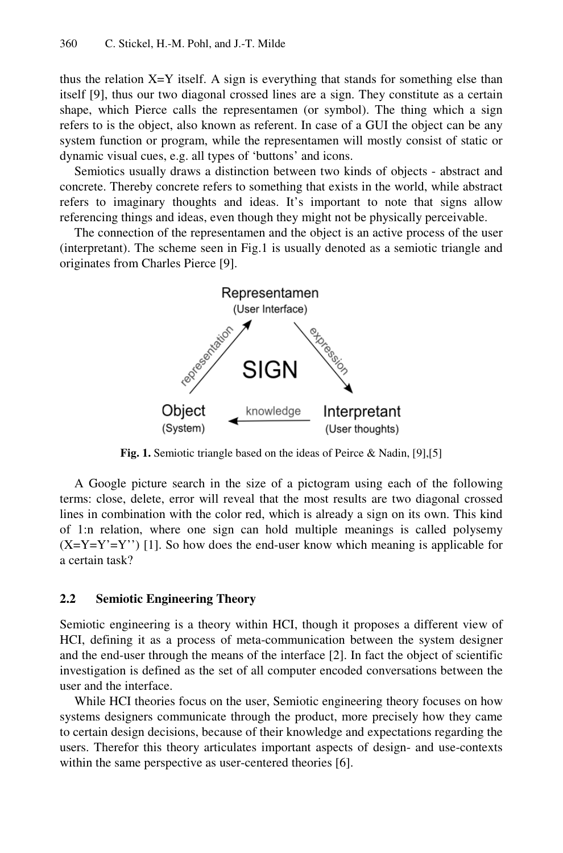thus the relation  $X = Y$  itself. A sign is everything that stands for something else than itself [9], thus our two diagonal crossed lines are a sign. They constitute as a certain shape, which Pierce calls the representamen (or symbol). The thing which a sign refers to is the object, also known as referent. In case of a GUI the object can be any system function or program, while the representamen will mostly consist of static or dynamic visual cues, e.g. all types of 'buttons' and icons.

Semiotics usually draws a distinction between two kinds of objects - abstract and concrete. Thereby concrete refers to something that exists in the world, while abstract refers to imaginary thoughts and ideas. It's important to note that signs allow referencing things and ideas, even though they might not be physically perceivable.

The connection of the representamen and the object is an active process of the user (interpretant). The scheme seen in Fig.1 is usually denoted as a semiotic triangle and originates from Charles Pierce [9].



**Fig. 1.** Semiotic triangle based on the ideas of Peirce & Nadin, [9],[5]

A Google picture search in the size of a pictogram using each of the following terms: close, delete, error will reveal that the most results are two diagonal crossed lines in combination with the color red, which is already a sign on its own. This kind of 1:n relation, where one sign can hold multiple meanings is called polysemy  $(X=Y=Y' = Y'')$  [1]. So how does the end-user know which meaning is applicable for a certain task?

#### **2.2 Semiotic Engineering Theory**

Semiotic engineering is a theory within HCI, though it proposes a different view of HCI, defining it as a process of meta-communication between the system designer and the end-user through the means of the interface [2]. In fact the object of scientific investigation is defined as the set of all computer encoded conversations between the user and the interface.

While HCI theories focus on the user, Semiotic engineering theory focuses on how systems designers communicate through the product, more precisely how they came to certain design decisions, because of their knowledge and expectations regarding the users. Therefor this theory articulates important aspects of design- and use-contexts within the same perspective as user-centered theories [6].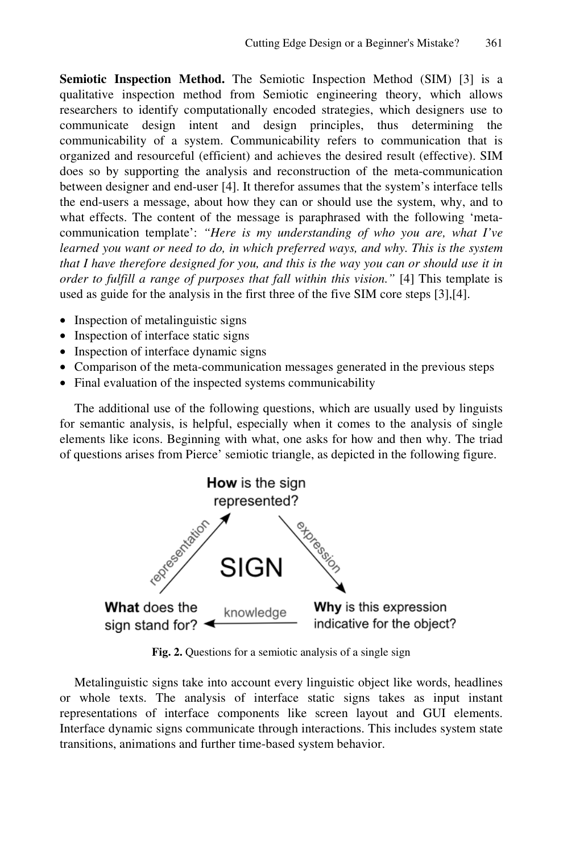**Semiotic Inspection Method.** The Semiotic Inspection Method (SIM) [3] is a qualitative inspection method from Semiotic engineering theory, which allows researchers to identify computationally encoded strategies, which designers use to communicate design intent and design principles, thus determining the communicability of a system. Communicability refers to communication that is organized and resourceful (efficient) and achieves the desired result (effective). SIM does so by supporting the analysis and reconstruction of the meta-communication between designer and end-user [4]. It therefor assumes that the system's interface tells the end-users a message, about how they can or should use the system, why, and to what effects. The content of the message is paraphrased with the following 'metacommunication template': *"Here is my understanding of who you are, what I've learned you want or need to do, in which preferred ways, and why. This is the system that I have therefore designed for you, and this is the way you can or should use it in order to fulfill a range of purposes that fall within this vision."* [4] This template is used as guide for the analysis in the first three of the five SIM core steps [3],[4].

- Inspection of metalinguistic signs
- Inspection of interface static signs
- Inspection of interface dynamic signs
- Comparison of the meta-communication messages generated in the previous steps
- Final evaluation of the inspected systems communicability

The additional use of the following questions, which are usually used by linguists for semantic analysis, is helpful, especially when it comes to the analysis of single elements like icons. Beginning with what, one asks for how and then why. The triad of questions arises from Pierce' semiotic triangle, as depicted in the following figure.



**Fig. 2.** Questions for a semiotic analysis of a single sign

Metalinguistic signs take into account every linguistic object like words, headlines or whole texts. The analysis of interface static signs takes as input instant representations of interface components like screen layout and GUI elements. Interface dynamic signs communicate through interactions. This includes system state transitions, animations and further time-based system behavior.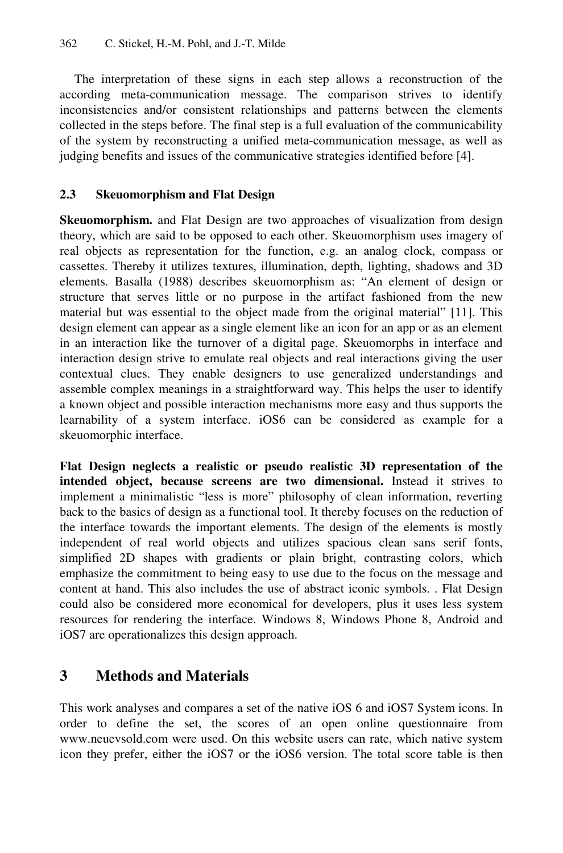The interpretation of these signs in each step allows a reconstruction of the according meta-communication message. The comparison strives to identify inconsistencies and/or consistent relationships and patterns between the elements collected in the steps before. The final step is a full evaluation of the communicability of the system by reconstructing a unified meta-communication message, as well as judging benefits and issues of the communicative strategies identified before [4].

#### **2.3 Skeuomorphism and Flat Design**

**Skeuomorphism.** and Flat Design are two approaches of visualization from design theory, which are said to be opposed to each other. Skeuomorphism uses imagery of real objects as representation for the function, e.g. an analog clock, compass or cassettes. Thereby it utilizes textures, illumination, depth, lighting, shadows and 3D elements. Basalla (1988) describes skeuomorphism as: "An element of design or structure that serves little or no purpose in the artifact fashioned from the new material but was essential to the object made from the original material" [11]. This design element can appear as a single element like an icon for an app or as an element in an interaction like the turnover of a digital page. Skeuomorphs in interface and interaction design strive to emulate real objects and real interactions giving the user contextual clues. They enable designers to use generalized understandings and assemble complex meanings in a straightforward way. This helps the user to identify a known object and possible interaction mechanisms more easy and thus supports the learnability of a system interface. iOS6 can be considered as example for a skeuomorphic interface.

**Flat Design neglects a realistic or pseudo realistic 3D representation of the intended object, because screens are two dimensional.** Instead it strives to implement a minimalistic "less is more" philosophy of clean information, reverting back to the basics of design as a functional tool. It thereby focuses on the reduction of the interface towards the important elements. The design of the elements is mostly independent of real world objects and utilizes spacious clean sans serif fonts, simplified 2D shapes with gradients or plain bright, contrasting colors, which emphasize the commitment to being easy to use due to the focus on the message and content at hand. This also includes the use of abstract iconic symbols. . Flat Design could also be considered more economical for developers, plus it uses less system resources for rendering the interface. Windows 8, Windows Phone 8, Android and iOS7 are operationalizes this design approach.

## **3 Methods and Materials**

This work analyses and compares a set of the native iOS 6 and iOS7 System icons. In order to define the set, the scores of an open online questionnaire from www.neuevsold.com were used. On this website users can rate, which native system icon they prefer, either the iOS7 or the iOS6 version. The total score table is then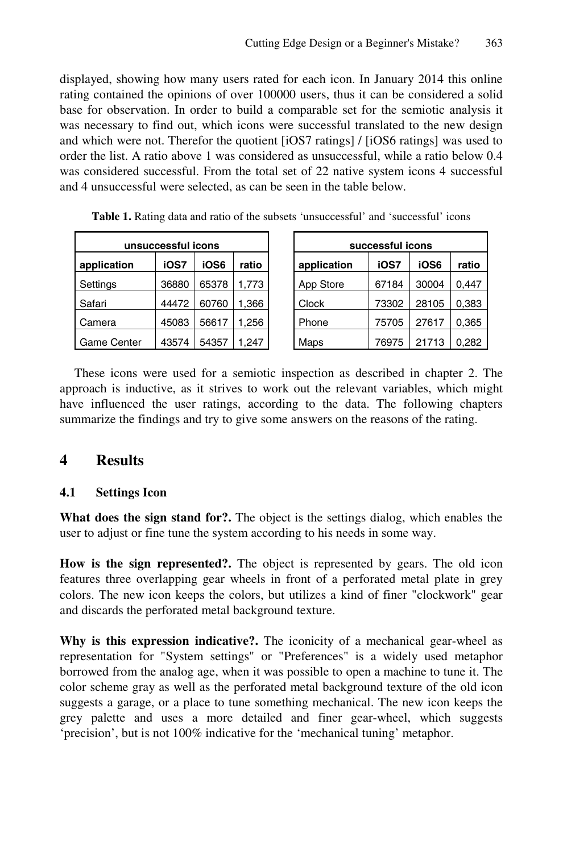displayed, showing how many users rated for each icon. In January 2014 this online rating contained the opinions of over 100000 users, thus it can be considered a solid base for observation. In order to build a comparable set for the semiotic analysis it was necessary to find out, which icons were successful translated to the new design and which were not. Therefor the quotient [iOS7 ratings] / [iOS6 ratings] was used to order the list. A ratio above 1 was considered as unsuccessful, while a ratio below 0.4 was considered successful. From the total set of 22 native system icons 4 successful and 4 unsuccessful were selected, as can be seen in the table below.

| unsuccessful icons |       |       |       | successful icons |       |       |       |
|--------------------|-------|-------|-------|------------------|-------|-------|-------|
| application        | i0S7  | iOS6  | ratio | application      | i0S7  | iOS6  | ratio |
| Settings           | 36880 | 65378 | .773  | App Store        | 67184 | 30004 | 0,447 |
| Safari             | 44472 | 60760 | .366  | Clock            | 73302 | 28105 | 0,383 |
| Camera             | 45083 | 56617 | .256  | Phone            | 75705 | 27617 | 0,365 |
| <b>Game Center</b> | 43574 | 54357 | .247  | Maps             | 76975 | 21713 | 0,282 |

| <b>Table 1.</b> Rating data and ratio of the subsets 'unsuccessful' and 'successful' icons |  |  |
|--------------------------------------------------------------------------------------------|--|--|
|--------------------------------------------------------------------------------------------|--|--|

application | iOS7 | iOS6 | ratio

These icons were used for a semiotic inspection as described in chapter 2. The approach is inductive, as it strives to work out the relevant variables, which might have influenced the user ratings, according to the data. The following chapters summarize the findings and try to give some answers on the reasons of the rating.

#### **4 Results**

#### **4.1 Settings Icon**

**What does the sign stand for?.** The object is the settings dialog, which enables the user to adjust or fine tune the system according to his needs in some way.

**How is the sign represented?.** The object is represented by gears. The old icon features three overlapping gear wheels in front of a perforated metal plate in grey colors. The new icon keeps the colors, but utilizes a kind of finer "clockwork" gear and discards the perforated metal background texture.

**Why is this expression indicative?.** The iconicity of a mechanical gear-wheel as representation for "System settings" or "Preferences" is a widely used metaphor borrowed from the analog age, when it was possible to open a machine to tune it. The color scheme gray as well as the perforated metal background texture of the old icon suggests a garage, or a place to tune something mechanical. The new icon keeps the grey palette and uses a more detailed and finer gear-wheel, which suggests 'precision', but is not 100% indicative for the 'mechanical tuning' metaphor.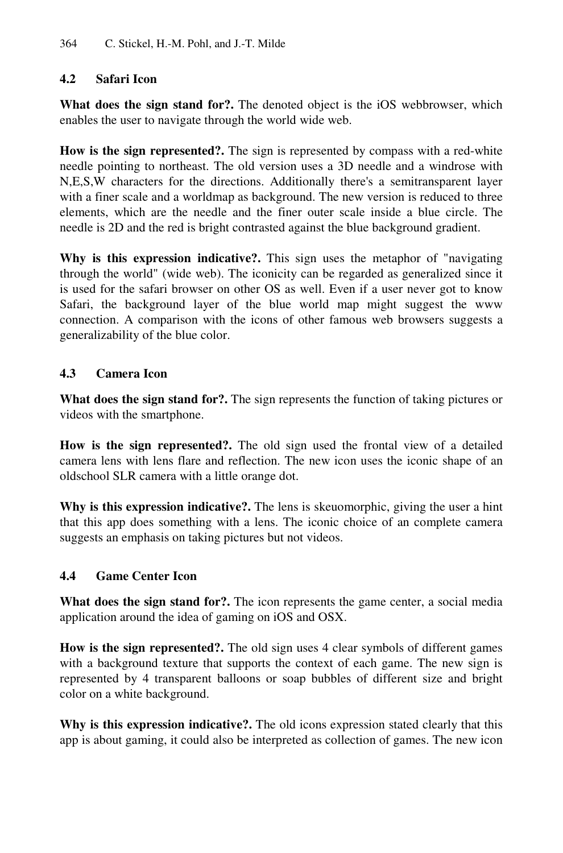#### **4.2 Safari Icon**

**What does the sign stand for?.** The denoted object is the iOS webbrowser, which enables the user to navigate through the world wide web.

**How is the sign represented?.** The sign is represented by compass with a red-white needle pointing to northeast. The old version uses a 3D needle and a windrose with N,E,S,W characters for the directions. Additionally there's a semitransparent layer with a finer scale and a worldmap as background. The new version is reduced to three elements, which are the needle and the finer outer scale inside a blue circle. The needle is 2D and the red is bright contrasted against the blue background gradient.

**Why is this expression indicative?.** This sign uses the metaphor of "navigating through the world" (wide web). The iconicity can be regarded as generalized since it is used for the safari browser on other OS as well. Even if a user never got to know Safari, the background layer of the blue world map might suggest the www connection. A comparison with the icons of other famous web browsers suggests a generalizability of the blue color.

### **4.3 Camera Icon**

**What does the sign stand for?.** The sign represents the function of taking pictures or videos with the smartphone.

**How is the sign represented?.** The old sign used the frontal view of a detailed camera lens with lens flare and reflection. The new icon uses the iconic shape of an oldschool SLR camera with a little orange dot.

**Why is this expression indicative?.** The lens is skeuomorphic, giving the user a hint that this app does something with a lens. The iconic choice of an complete camera suggests an emphasis on taking pictures but not videos.

## **4.4 Game Center Icon**

**What does the sign stand for?.** The icon represents the game center, a social media application around the idea of gaming on iOS and OSX.

**How is the sign represented?.** The old sign uses 4 clear symbols of different games with a background texture that supports the context of each game. The new sign is represented by 4 transparent balloons or soap bubbles of different size and bright color on a white background.

**Why is this expression indicative?.** The old icons expression stated clearly that this app is about gaming, it could also be interpreted as collection of games. The new icon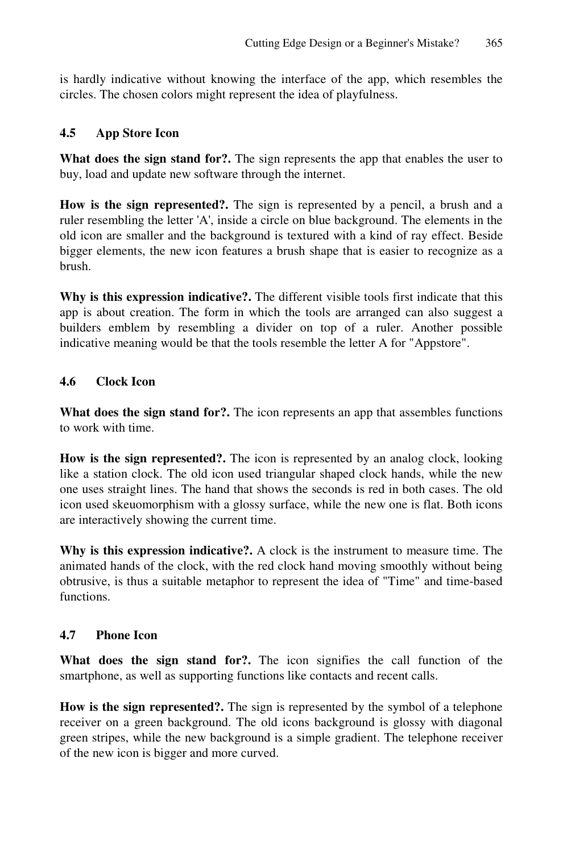is hardly indicative without knowing the interface of the app, which resembles the circles. The chosen colors might represent the idea of playfulness.

### **4.5 App Store Icon**

**What does the sign stand for?.** The sign represents the app that enables the user to buy, load and update new software through the internet.

**How is the sign represented?.** The sign is represented by a pencil, a brush and a ruler resembling the letter 'A', inside a circle on blue background. The elements in the old icon are smaller and the background is textured with a kind of ray effect. Beside bigger elements, the new icon features a brush shape that is easier to recognize as a brush.

**Why is this expression indicative?.** The different visible tools first indicate that this app is about creation. The form in which the tools are arranged can also suggest a builders emblem by resembling a divider on top of a ruler. Another possible indicative meaning would be that the tools resemble the letter A for "Appstore".

### **4.6 Clock Icon**

**What does the sign stand for?.** The icon represents an app that assembles functions to work with time.

**How is the sign represented?.** The icon is represented by an analog clock, looking like a station clock. The old icon used triangular shaped clock hands, while the new one uses straight lines. The hand that shows the seconds is red in both cases. The old icon used skeuomorphism with a glossy surface, while the new one is flat. Both icons are interactively showing the current time.

**Why is this expression indicative?.** A clock is the instrument to measure time. The animated hands of the clock, with the red clock hand moving smoothly without being obtrusive, is thus a suitable metaphor to represent the idea of "Time" and time-based functions.

## **4.7 Phone Icon**

**What does the sign stand for?.** The icon signifies the call function of the smartphone, as well as supporting functions like contacts and recent calls.

**How is the sign represented?.** The sign is represented by the symbol of a telephone receiver on a green background. The old icons background is glossy with diagonal green stripes, while the new background is a simple gradient. The telephone receiver of the new icon is bigger and more curved.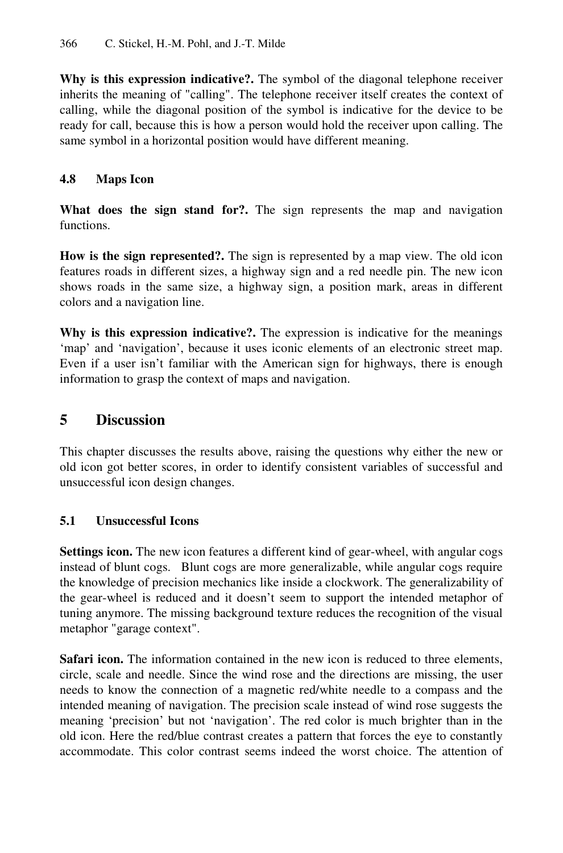**Why is this expression indicative?.** The symbol of the diagonal telephone receiver inherits the meaning of "calling". The telephone receiver itself creates the context of calling, while the diagonal position of the symbol is indicative for the device to be ready for call, because this is how a person would hold the receiver upon calling. The same symbol in a horizontal position would have different meaning.

#### **4.8 Maps Icon**

**What does the sign stand for?.** The sign represents the map and navigation functions.

**How is the sign represented?.** The sign is represented by a map view. The old icon features roads in different sizes, a highway sign and a red needle pin. The new icon shows roads in the same size, a highway sign, a position mark, areas in different colors and a navigation line.

**Why is this expression indicative?.** The expression is indicative for the meanings 'map' and 'navigation', because it uses iconic elements of an electronic street map. Even if a user isn't familiar with the American sign for highways, there is enough information to grasp the context of maps and navigation.

# **5 Discussion**

This chapter discusses the results above, raising the questions why either the new or old icon got better scores, in order to identify consistent variables of successful and unsuccessful icon design changes.

#### **5.1 Unsuccessful Icons**

**Settings icon.** The new icon features a different kind of gear-wheel, with angular cogs instead of blunt cogs. Blunt cogs are more generalizable, while angular cogs require the knowledge of precision mechanics like inside a clockwork. The generalizability of the gear-wheel is reduced and it doesn't seem to support the intended metaphor of tuning anymore. The missing background texture reduces the recognition of the visual metaphor "garage context".

**Safari icon.** The information contained in the new icon is reduced to three elements, circle, scale and needle. Since the wind rose and the directions are missing, the user needs to know the connection of a magnetic red/white needle to a compass and the intended meaning of navigation. The precision scale instead of wind rose suggests the meaning 'precision' but not 'navigation'. The red color is much brighter than in the old icon. Here the red/blue contrast creates a pattern that forces the eye to constantly accommodate. This color contrast seems indeed the worst choice. The attention of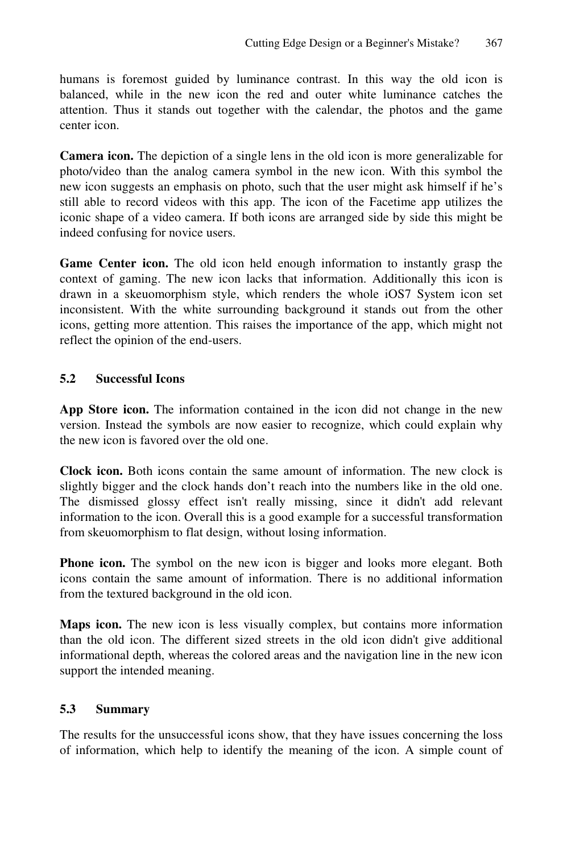humans is foremost guided by luminance contrast. In this way the old icon is balanced, while in the new icon the red and outer white luminance catches the attention. Thus it stands out together with the calendar, the photos and the game center icon.

**Camera icon.** The depiction of a single lens in the old icon is more generalizable for photo/video than the analog camera symbol in the new icon. With this symbol the new icon suggests an emphasis on photo, such that the user might ask himself if he's still able to record videos with this app. The icon of the Facetime app utilizes the iconic shape of a video camera. If both icons are arranged side by side this might be indeed confusing for novice users.

**Game Center icon.** The old icon held enough information to instantly grasp the context of gaming. The new icon lacks that information. Additionally this icon is drawn in a skeuomorphism style, which renders the whole iOS7 System icon set inconsistent. With the white surrounding background it stands out from the other icons, getting more attention. This raises the importance of the app, which might not reflect the opinion of the end-users.

### **5.2 Successful Icons**

**App Store icon.** The information contained in the icon did not change in the new version. Instead the symbols are now easier to recognize, which could explain why the new icon is favored over the old one.

**Clock icon.** Both icons contain the same amount of information. The new clock is slightly bigger and the clock hands don't reach into the numbers like in the old one. The dismissed glossy effect isn't really missing, since it didn't add relevant information to the icon. Overall this is a good example for a successful transformation from skeuomorphism to flat design, without losing information.

**Phone icon.** The symbol on the new icon is bigger and looks more elegant. Both icons contain the same amount of information. There is no additional information from the textured background in the old icon.

**Maps icon.** The new icon is less visually complex, but contains more information than the old icon. The different sized streets in the old icon didn't give additional informational depth, whereas the colored areas and the navigation line in the new icon support the intended meaning.

#### **5.3 Summary**

The results for the unsuccessful icons show, that they have issues concerning the loss of information, which help to identify the meaning of the icon. A simple count of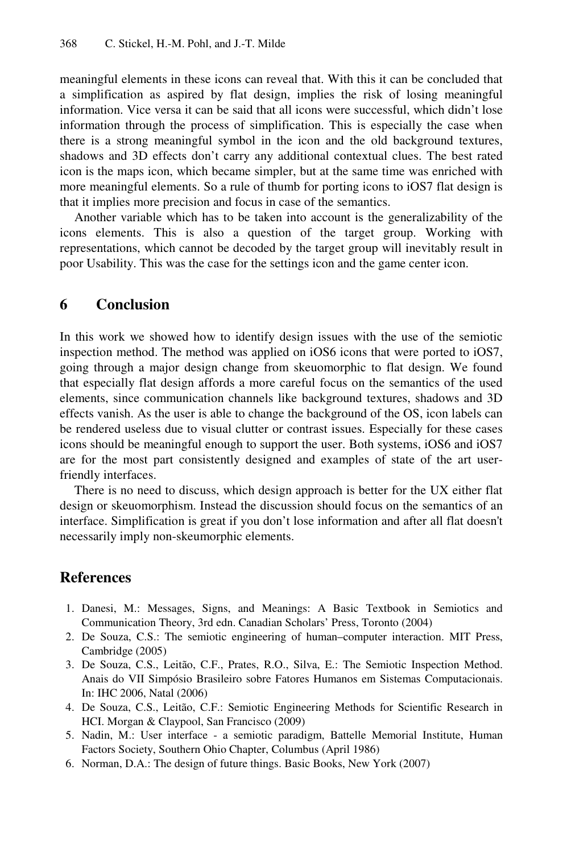meaningful elements in these icons can reveal that. With this it can be concluded that a simplification as aspired by flat design, implies the risk of losing meaningful information. Vice versa it can be said that all icons were successful, which didn't lose information through the process of simplification. This is especially the case when there is a strong meaningful symbol in the icon and the old background textures, shadows and 3D effects don't carry any additional contextual clues. The best rated icon is the maps icon, which became simpler, but at the same time was enriched with more meaningful elements. So a rule of thumb for porting icons to iOS7 flat design is that it implies more precision and focus in case of the semantics.

Another variable which has to be taken into account is the generalizability of the icons elements. This is also a question of the target group. Working with representations, which cannot be decoded by the target group will inevitably result in poor Usability. This was the case for the settings icon and the game center icon.

#### **6 Conclusion**

In this work we showed how to identify design issues with the use of the semiotic inspection method. The method was applied on iOS6 icons that were ported to iOS7, going through a major design change from skeuomorphic to flat design. We found that especially flat design affords a more careful focus on the semantics of the used elements, since communication channels like background textures, shadows and 3D effects vanish. As the user is able to change the background of the OS, icon labels can be rendered useless due to visual clutter or contrast issues. Especially for these cases icons should be meaningful enough to support the user. Both systems, iOS6 and iOS7 are for the most part consistently designed and examples of state of the art userfriendly interfaces.

There is no need to discuss, which design approach is better for the UX either flat design or skeuomorphism. Instead the discussion should focus on the semantics of an interface. Simplification is great if you don't lose information and after all flat doesn't necessarily imply non-skeumorphic elements.

#### **References**

- 1. Danesi, M.: Messages, Signs, and Meanings: A Basic Textbook in Semiotics and Communication Theory, 3rd edn. Canadian Scholars' Press, Toronto (2004)
- 2. De Souza, C.S.: The semiotic engineering of human–computer interaction. MIT Press, Cambridge (2005)
- 3. De Souza, C.S., Leitão, C.F., Prates, R.O., Silva, E.: The Semiotic Inspection Method. Anais do VII Simpósio Brasileiro sobre Fatores Humanos em Sistemas Computacionais. In: IHC 2006, Natal (2006)
- 4. De Souza, C.S., Leitão, C.F.: Semiotic Engineering Methods for Scientific Research in HCI. Morgan & Claypool, San Francisco (2009)
- 5. Nadin, M.: User interface a semiotic paradigm, Battelle Memorial Institute, Human Factors Society, Southern Ohio Chapter, Columbus (April 1986)
- 6. Norman, D.A.: The design of future things. Basic Books, New York (2007)